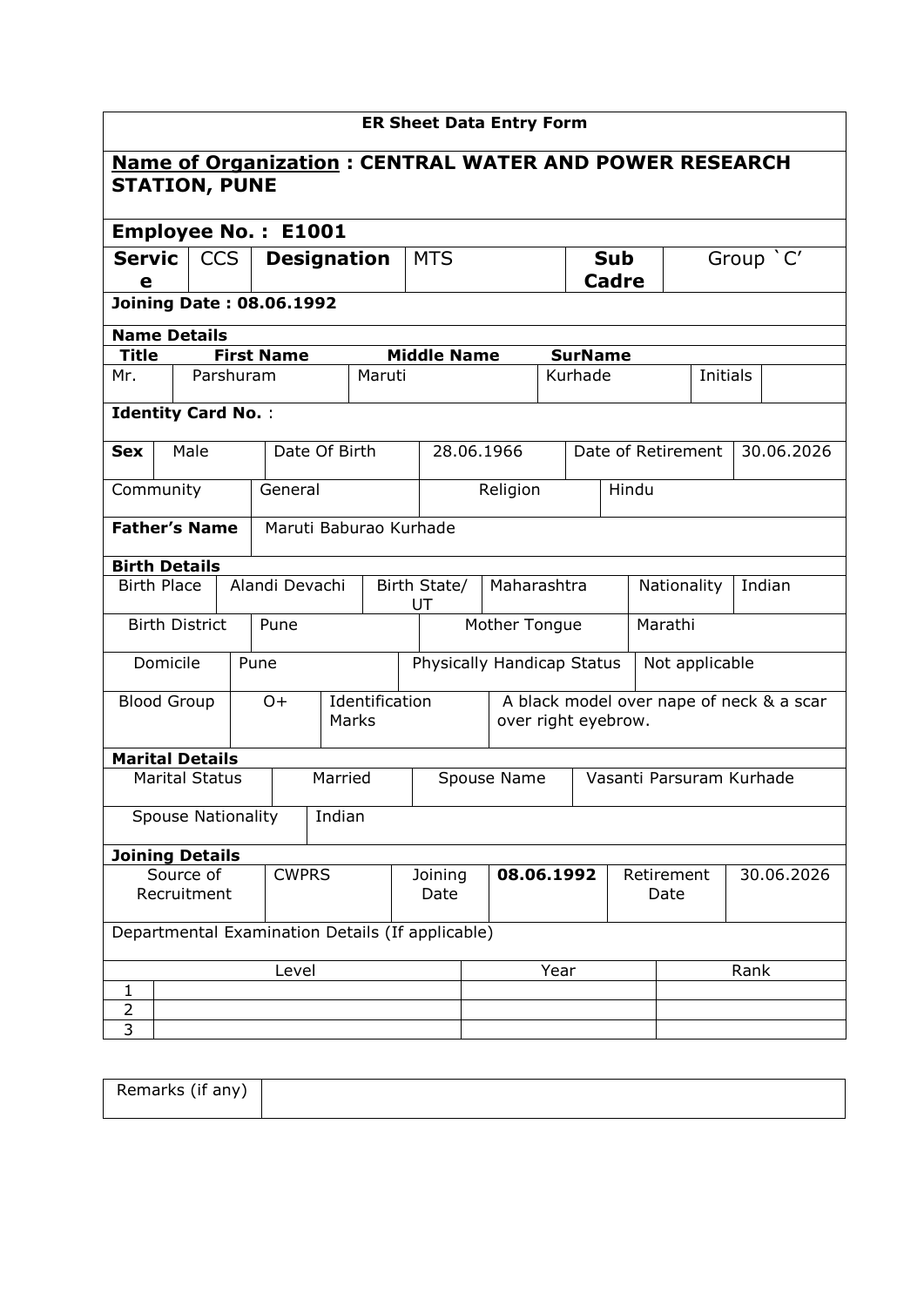| <b>ER Sheet Data Entry Form</b>                               |                                                  |                                  |                   |  |                 |                                   |                            |               |  |                                  |                          |         |                       |  |                                          |
|---------------------------------------------------------------|--------------------------------------------------|----------------------------------|-------------------|--|-----------------|-----------------------------------|----------------------------|---------------|--|----------------------------------|--------------------------|---------|-----------------------|--|------------------------------------------|
| <b>Name of Organization: CENTRAL WATER AND POWER RESEARCH</b> |                                                  |                                  |                   |  |                 |                                   |                            |               |  |                                  |                          |         |                       |  |                                          |
| <b>STATION, PUNE</b>                                          |                                                  |                                  |                   |  |                 |                                   |                            |               |  |                                  |                          |         |                       |  |                                          |
| <b>Employee No.: E1001</b>                                    |                                                  |                                  |                   |  |                 |                                   |                            |               |  |                                  |                          |         |                       |  |                                          |
| <b>Servic</b>                                                 |                                                  | <b>CCS</b><br><b>Designation</b> |                   |  |                 |                                   | <b>MTS</b>                 |               |  |                                  | <b>Sub</b>               |         |                       |  | Group `C'                                |
| е                                                             |                                                  |                                  |                   |  |                 |                                   |                            |               |  |                                  | <b>Cadre</b>             |         |                       |  |                                          |
| <b>Joining Date: 08.06.1992</b>                               |                                                  |                                  |                   |  |                 |                                   |                            |               |  |                                  |                          |         |                       |  |                                          |
| <b>Name Details</b>                                           |                                                  |                                  |                   |  |                 |                                   |                            |               |  |                                  |                          |         |                       |  |                                          |
| Title                                                         |                                                  |                                  | <b>First Name</b> |  |                 |                                   | <b>Middle Name</b>         |               |  | <b>SurName</b>                   |                          |         |                       |  |                                          |
| Mr.                                                           |                                                  | Parshuram                        |                   |  |                 | Maruti                            |                            |               |  | Kurhade                          |                          |         | <b>Initials</b>       |  |                                          |
| <b>Identity Card No.:</b>                                     |                                                  |                                  |                   |  |                 |                                   |                            |               |  |                                  |                          |         |                       |  |                                          |
| <b>Sex</b>                                                    | Male                                             |                                  |                   |  | Date Of Birth   |                                   | 28.06.1966                 |               |  |                                  | Date of Retirement       |         |                       |  | 30.06.2026                               |
| Community                                                     |                                                  |                                  | General           |  |                 |                                   |                            | Religion      |  |                                  | Hindu                    |         |                       |  |                                          |
|                                                               | <b>Father's Name</b><br>Maruti Baburao Kurhade   |                                  |                   |  |                 |                                   |                            |               |  |                                  |                          |         |                       |  |                                          |
| <b>Birth Details</b>                                          |                                                  |                                  |                   |  |                 |                                   |                            |               |  |                                  |                          |         |                       |  |                                          |
| <b>Birth Place</b>                                            |                                                  |                                  | Alandi Devachi    |  |                 | Maharashtra<br>Birth State/<br>UT |                            |               |  |                                  |                          |         | Indian<br>Nationality |  |                                          |
|                                                               | <b>Birth District</b>                            |                                  | Pune              |  |                 |                                   |                            | Mother Tongue |  |                                  |                          | Marathi |                       |  |                                          |
|                                                               | Domicile                                         |                                  | Pune              |  |                 |                                   | Physically Handicap Status |               |  |                                  |                          |         | Not applicable        |  |                                          |
|                                                               | <b>Blood Group</b>                               |                                  | $O+$              |  | Marks           | Identification                    |                            |               |  | over right eyebrow.              |                          |         |                       |  | A black model over nape of neck & a scar |
| <b>Marital Details</b>                                        |                                                  |                                  |                   |  |                 |                                   |                            |               |  |                                  |                          |         |                       |  |                                          |
|                                                               | <b>Marital Status</b>                            |                                  |                   |  | Married         |                                   |                            | Spouse Name   |  |                                  | Vasanti Parsuram Kurhade |         |                       |  |                                          |
|                                                               | <b>Spouse Nationality</b>                        |                                  |                   |  | Indian          |                                   |                            |               |  |                                  |                          |         |                       |  |                                          |
| <b>Joining Details</b>                                        |                                                  |                                  |                   |  |                 |                                   |                            |               |  |                                  |                          |         |                       |  |                                          |
| Source of<br><b>CWPRS</b><br>Recruitment                      |                                                  |                                  |                   |  | Joining<br>Date |                                   |                            | 08.06.1992    |  | Retirement<br>30.06.2026<br>Date |                          |         |                       |  |                                          |
|                                                               | Departmental Examination Details (If applicable) |                                  |                   |  |                 |                                   |                            |               |  |                                  |                          |         |                       |  |                                          |
| Level                                                         |                                                  |                                  |                   |  |                 |                                   |                            | Year          |  |                                  |                          |         | Rank                  |  |                                          |
| 1                                                             |                                                  |                                  |                   |  |                 |                                   |                            |               |  |                                  |                          |         |                       |  |                                          |
| $\overline{2}$<br>3                                           |                                                  |                                  |                   |  |                 |                                   |                            |               |  |                                  |                          |         |                       |  |                                          |
|                                                               |                                                  |                                  |                   |  |                 |                                   |                            |               |  |                                  |                          |         |                       |  |                                          |

| Remarks (if any) |  |
|------------------|--|
|                  |  |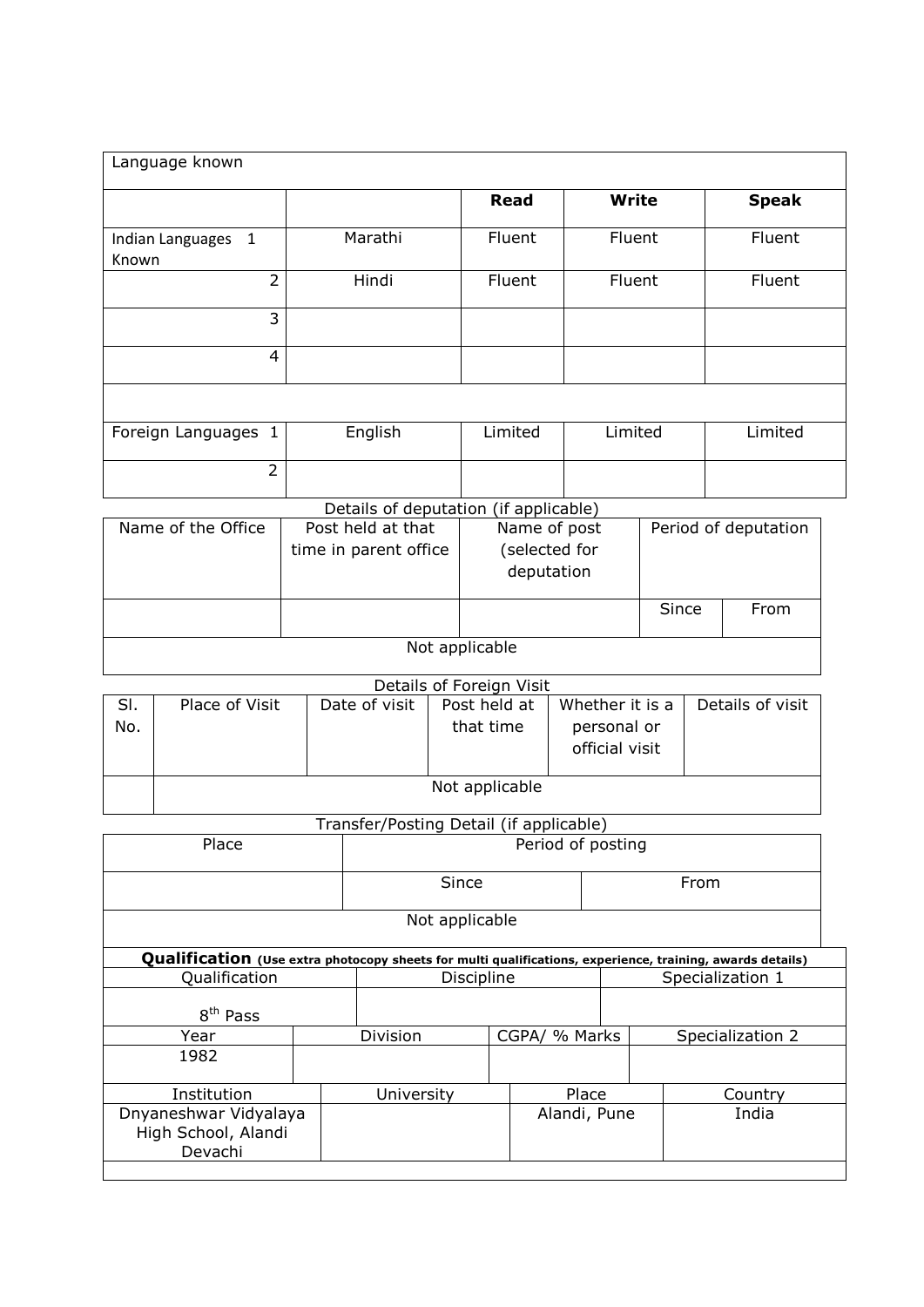| Language known              |                                       |                          |               |       |                      |  |
|-----------------------------|---------------------------------------|--------------------------|---------------|-------|----------------------|--|
|                             |                                       | <b>Read</b>              | <b>Write</b>  |       | <b>Speak</b>         |  |
| Indian Languages 1<br>Known | Marathi                               | Fluent                   | Fluent        |       | Fluent               |  |
| $\overline{2}$              | Hindi                                 | Fluent                   | Fluent        |       | Fluent               |  |
| 3                           |                                       |                          |               |       |                      |  |
| $\overline{4}$              |                                       |                          |               |       |                      |  |
|                             |                                       |                          |               |       |                      |  |
| Foreign Languages 1         | English                               | Limited                  | Limited       |       | Limited              |  |
| $\overline{2}$              |                                       |                          |               |       |                      |  |
|                             | Details of deputation (if applicable) |                          |               |       |                      |  |
| Name of the Office          | Post held at that                     | Name of post             |               |       | Period of deputation |  |
|                             | time in parent office                 |                          | (selected for |       |                      |  |
|                             |                                       | deputation               |               |       |                      |  |
|                             |                                       |                          |               | Since | From                 |  |
|                             |                                       | Not applicable           |               |       |                      |  |
|                             |                                       | Details of Foreign Visit |               |       |                      |  |

|     | <b>PULLATION</b> I DI CIGII VIDIL |               |                |                 |                  |  |  |  |  |  |  |  |  |
|-----|-----------------------------------|---------------|----------------|-----------------|------------------|--|--|--|--|--|--|--|--|
| SI. | Place of Visit                    | Date of visit | Post held at   | Whether it is a | Details of visit |  |  |  |  |  |  |  |  |
| No. |                                   |               | that time      | personal or     |                  |  |  |  |  |  |  |  |  |
|     |                                   |               |                | official visit  |                  |  |  |  |  |  |  |  |  |
|     |                                   |               |                |                 |                  |  |  |  |  |  |  |  |  |
|     |                                   |               | Not applicable |                 |                  |  |  |  |  |  |  |  |  |
|     |                                   |               |                |                 |                  |  |  |  |  |  |  |  |  |

## Transfer/Posting Detail (if applicable)

|                                                         | Period of posting |            |                     |                  |                        |                                                                                                           |  |  |
|---------------------------------------------------------|-------------------|------------|---------------------|------------------|------------------------|-----------------------------------------------------------------------------------------------------------|--|--|
|                                                         |                   |            |                     |                  | From                   |                                                                                                           |  |  |
| Not applicable                                          |                   |            |                     |                  |                        |                                                                                                           |  |  |
|                                                         |                   |            |                     |                  |                        |                                                                                                           |  |  |
|                                                         |                   |            |                     | Specialization 1 |                        |                                                                                                           |  |  |
| 8 <sup>th</sup> Pass                                    |                   |            |                     |                  |                        |                                                                                                           |  |  |
|                                                         | Division          |            |                     |                  | Specialization 2       |                                                                                                           |  |  |
| 1982                                                    |                   |            |                     |                  |                        |                                                                                                           |  |  |
| Institution                                             |                   |            |                     |                  | Country                |                                                                                                           |  |  |
| Dnyaneshwar Vidyalaya<br>High School, Alandi<br>Devachi |                   |            | Alandi, Pune        |                  | India                  |                                                                                                           |  |  |
|                                                         |                   | University | Since<br>Discipline |                  | CGPA/ % Marks<br>Place | Qualification (Use extra photocopy sheets for multi qualifications, experience, training, awards details) |  |  |